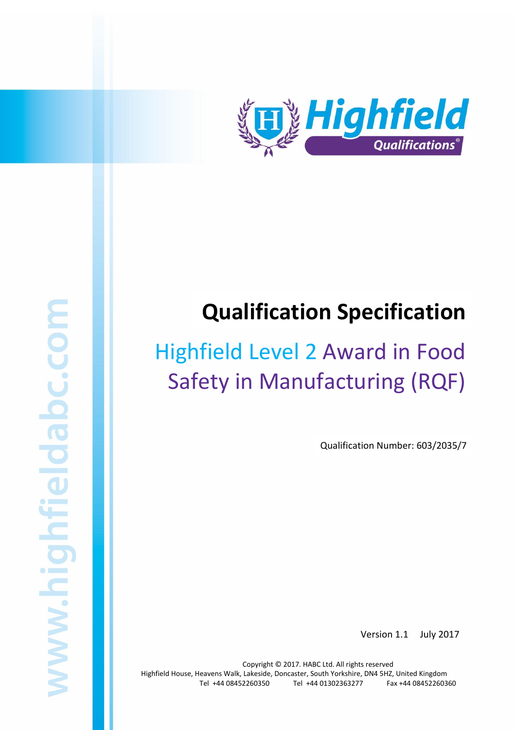

# **Qualification Specification**

# Highfield Level 2 Award in Food Safety in Manufacturing (RQF)

Qualification Number: 603/2035/7

Version 1.1 July 2017

Copyright © 2017. HABC Ltd. All rights reserved Highfield House, Heavens Walk, Lakeside, Doncaster, South Yorkshire, DN4 5HZ, United Kingdom Tel +44 08452260350 Tel +44 01302363277 Fax +44 08452260360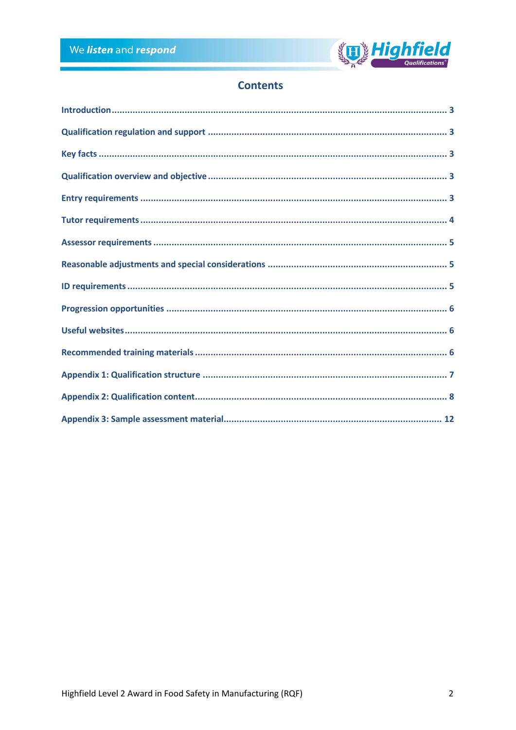

# **Contents**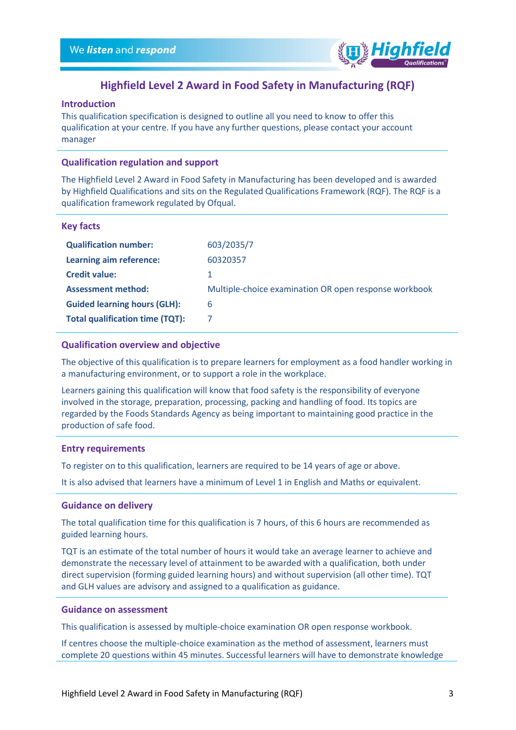

# **Highfield Level 2 Award in Food Safety in Manufacturing (RQF)**

# <span id="page-2-0"></span>**Introduction**

This qualification specification is designed to outline all you need to know to offer this qualification at your centre. If you have any further questions, please contact your account manager

#### <span id="page-2-1"></span>**Qualification regulation and support**

The Highfield Level 2 Award in Food Safety in Manufacturing has been developed and is awarded by Highfield Qualifications and sits on the Regulated Qualifications Framework (RQF). The RQF is a qualification framework regulated by Ofqual.

#### <span id="page-2-2"></span>**Key facts**

| 603/2035/7                                            |
|-------------------------------------------------------|
| 60320357                                              |
|                                                       |
| Multiple-choice examination OR open response workbook |
| 6                                                     |
|                                                       |
|                                                       |

#### <span id="page-2-3"></span>**Qualification overview and objective**

The objective of this qualification is to prepare learners for employment as a food handler working in a manufacturing environment, or to support a role in the workplace.

Learners gaining this qualification will know that food safety is the responsibility of everyone involved in the storage, preparation, processing, packing and handling of food. Its topics are regarded by the Foods Standards Agency as being important to maintaining good practice in the production of safe food.

#### <span id="page-2-4"></span>**Entry requirements**

To register on to this qualification, learners are required to be 14 years of age or above.

It is also advised that learners have a minimum of Level 1 in English and Maths or equivalent.

#### **Guidance on delivery**

The total qualification time for this qualification is 7 hours, of this 6 hours are recommended as guided learning hours.

TQT is an estimate of the total number of hours it would take an average learner to achieve and demonstrate the necessary level of attainment to be awarded with a qualification, both under direct supervision (forming guided learning hours) and without supervision (all other time). TQT and GLH values are advisory and assigned to a qualification as guidance.

#### **Guidance on assessment**

This qualification is assessed by multiple-choice examination OR open response workbook.

If centres choose the multiple-choice examination as the method of assessment, learners must complete 20 questions within 45 minutes. Successful learners will have to demonstrate knowledge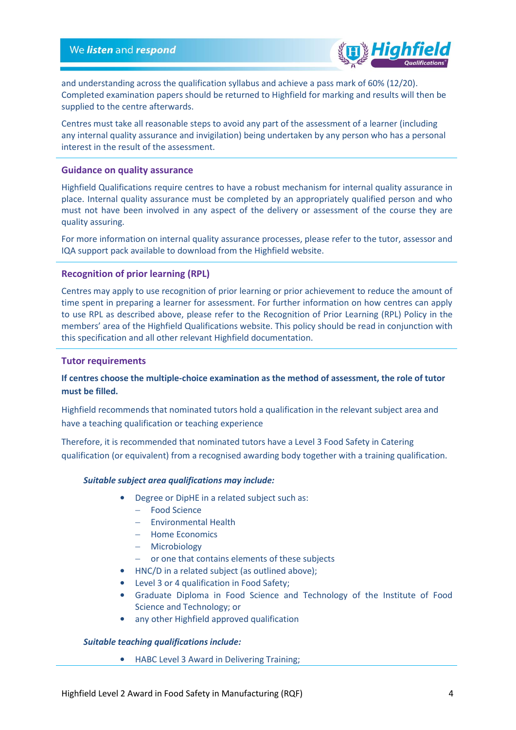

and understanding across the qualification syllabus and achieve a pass mark of 60% (12/20). Completed examination papers should be returned to Highfield for marking and results will then be supplied to the centre afterwards.

Centres must take all reasonable steps to avoid any part of the assessment of a learner (including any internal quality assurance and invigilation) being undertaken by any person who has a personal interest in the result of the assessment.

#### **Guidance on quality assurance**

Highfield Qualifications require centres to have a robust mechanism for internal quality assurance in place. Internal quality assurance must be completed by an appropriately qualified person and who must not have been involved in any aspect of the delivery or assessment of the course they are quality assuring.

For more information on internal quality assurance processes, please refer to the tutor, assessor and IQA support pack available to download from the Highfield website.

#### **Recognition of prior learning (RPL)**

Centres may apply to use recognition of prior learning or prior achievement to reduce the amount of time spent in preparing a learner for assessment. For further information on how centres can apply to use RPL as described above, please refer to the Recognition of Prior Learning (RPL) Policy in the members' area of the Highfield Qualifications website. This policy should be read in conjunction with this specification and all other relevant Highfield documentation.

#### <span id="page-3-0"></span>**Tutor requirements**

# **If centres choose the multiple-choice examination as the method of assessment, the role of tutor must be filled.**

Highfield recommends that nominated tutors hold a qualification in the relevant subject area and have a teaching qualification or teaching experience

Therefore, it is recommended that nominated tutors have a Level 3 Food Safety in Catering qualification (or equivalent) from a recognised awarding body together with a training qualification.

#### *Suitable subject area qualifications may include:*

- Degree or DipHE in a related subject such as:
	- Food Science
	- Environmental Health
	- Home Economics
	- Microbiology
	- or one that contains elements of these subjects
- HNC/D in a related subject (as outlined above);
- Level 3 or 4 qualification in Food Safety;
- Graduate Diploma in Food Science and Technology of the Institute of Food Science and Technology; or
- any other Highfield approved qualification

#### *Suitable teaching qualifications include:*

• HABC Level 3 Award in Delivering Training;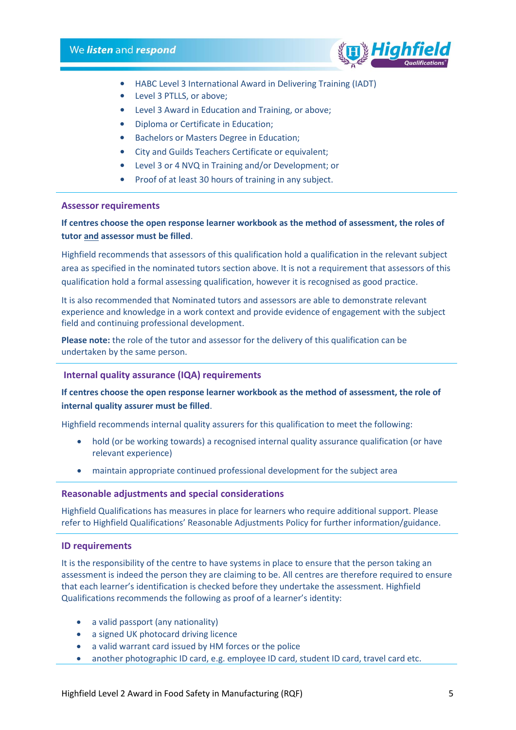

- HABC Level 3 International Award in Delivering Training (IADT)
- Level 3 PTLLS, or above;
- Level 3 Award in Education and Training, or above;
- Diploma or Certificate in Education;
- Bachelors or Masters Degree in Education;
- City and Guilds Teachers Certificate or equivalent;
- Level 3 or 4 NVQ in Training and/or Development; or
- Proof of at least 30 hours of training in any subject.

#### <span id="page-4-0"></span>**Assessor requirements**

# **If centres choose the open response learner workbook as the method of assessment, the roles of tutor and assessor must be filled**.

Highfield recommends that assessors of this qualification hold a qualification in the relevant subject area as specified in the nominated tutors section above. It is not a requirement that assessors of this qualification hold a formal assessing qualification, however it is recognised as good practice.

It is also recommended that Nominated tutors and assessors are able to demonstrate relevant experience and knowledge in a work context and provide evidence of engagement with the subject field and continuing professional development.

**Please note:** the role of the tutor and assessor for the delivery of this qualification can be undertaken by the same person.

## **Internal quality assurance (IQA) requirements**

# **If centres choose the open response learner workbook as the method of assessment, the role of internal quality assurer must be filled**.

Highfield recommends internal quality assurers for this qualification to meet the following:

- hold (or be working towards) a recognised internal quality assurance qualification (or have relevant experience)
- maintain appropriate continued professional development for the subject area

#### <span id="page-4-1"></span>**Reasonable adjustments and special considerations**

Highfield Qualifications has measures in place for learners who require additional support. Please refer to Highfield Qualifications' Reasonable Adjustments Policy for further information/guidance.

#### <span id="page-4-2"></span>**ID requirements**

It is the responsibility of the centre to have systems in place to ensure that the person taking an assessment is indeed the person they are claiming to be. All centres are therefore required to ensure that each learner's identification is checked before they undertake the assessment. Highfield Qualifications recommends the following as proof of a learner's identity:

- a valid passport (any nationality)
- a signed UK photocard driving licence
- a valid warrant card issued by HM forces or the police
- another photographic ID card, e.g. employee ID card, student ID card, travel card etc.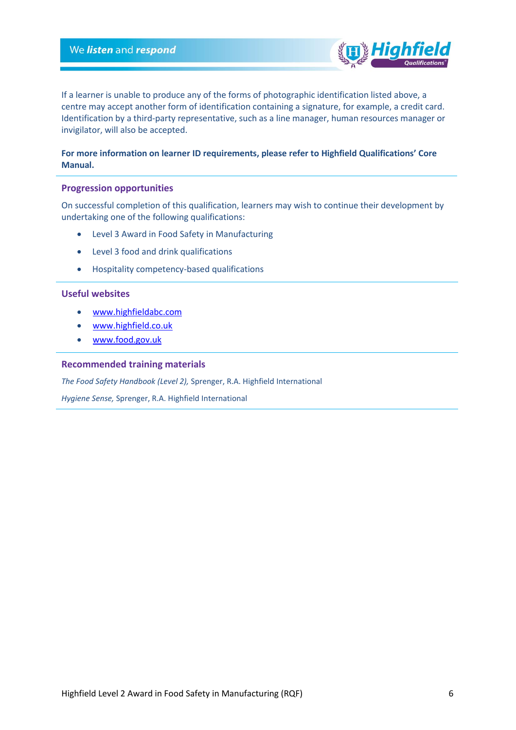If a learner is unable to produce any of the forms of photographic identification listed above, a centre may accept another form of identification containing a signature, for example, a credit card. Identification by a third-party representative, such as a line manager, human resources manager or invigilator, will also be accepted.

## **For more information on learner ID requirements, please refer to Highfield Qualifications' Core Manual.**

#### <span id="page-5-0"></span>**Progression opportunities**

On successful completion of this qualification, learners may wish to continue their development by undertaking one of the following qualifications:

- Level 3 Award in Food Safety in Manufacturing
- Level 3 food and drink qualifications
- Hospitality competency-based qualifications

#### <span id="page-5-1"></span>**Useful websites**

- [www.highfieldabc.com](http://www.highfieldabc.com/)
- [www.highfield.co.uk](http://www.highfield.co.uk/)
- [www.food.gov.uk](http://www.food.gov.uk/)

#### <span id="page-5-2"></span>**Recommended training materials**

*The Food Safety Handbook (Level 2),* Sprenger, R.A. Highfield International

*Hygiene Sense,* Sprenger, R.A. Highfield International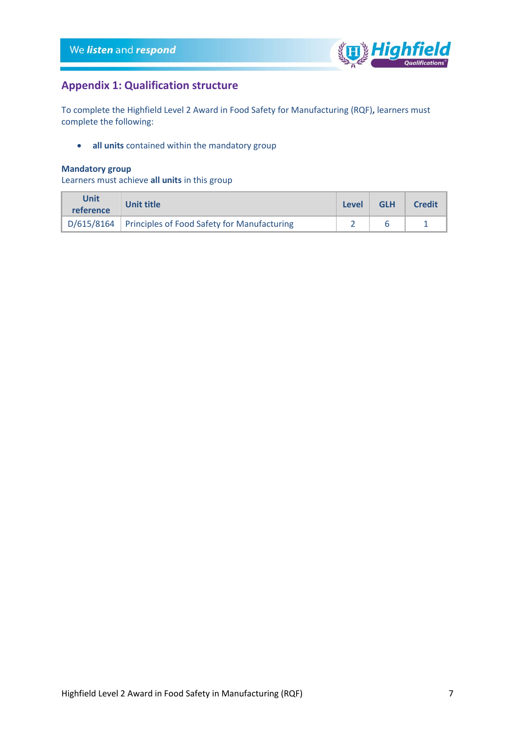

# <span id="page-6-0"></span>**Appendix 1: Qualification structure**

To complete the Highfield Level 2 Award in Food Safety for Manufacturing (RQF)**,** learners must complete the following:

• **all units** contained within the mandatory group

## **Mandatory group**

Learners must achieve **all units** in this group

| Unit<br>reference | Unit title                                               | Level | <b>GLH</b> | <b>Credit</b> |
|-------------------|----------------------------------------------------------|-------|------------|---------------|
|                   | D/615/8164   Principles of Food Safety for Manufacturing |       |            |               |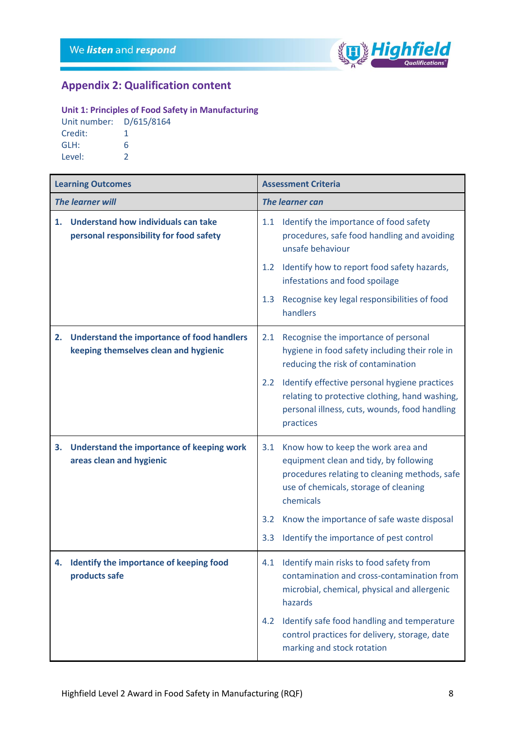

# <span id="page-7-0"></span>**Appendix 2: Qualification content**

# **Unit 1: Principles of Food Safety in Manufacturing**

Unit number: D/615/8164 Credit: 1 GLH: 6 Level: 2

| <b>Learning Outcomes</b> |                                                                                            | <b>Assessment Criteria</b> |                                                                                                                                                                                     |  |
|--------------------------|--------------------------------------------------------------------------------------------|----------------------------|-------------------------------------------------------------------------------------------------------------------------------------------------------------------------------------|--|
| <b>The learner will</b>  |                                                                                            | <b>The learner can</b>     |                                                                                                                                                                                     |  |
| 1.                       | <b>Understand how individuals can take</b><br>personal responsibility for food safety      | 1.1                        | Identify the importance of food safety<br>procedures, safe food handling and avoiding<br>unsafe behaviour                                                                           |  |
|                          |                                                                                            | 1.2                        | Identify how to report food safety hazards,<br>infestations and food spoilage                                                                                                       |  |
|                          |                                                                                            | 1.3                        | Recognise key legal responsibilities of food<br>handlers                                                                                                                            |  |
| 2.                       | <b>Understand the importance of food handlers</b><br>keeping themselves clean and hygienic | 2.1                        | Recognise the importance of personal<br>hygiene in food safety including their role in<br>reducing the risk of contamination                                                        |  |
|                          |                                                                                            | $2.2^{\circ}$              | Identify effective personal hygiene practices<br>relating to protective clothing, hand washing,<br>personal illness, cuts, wounds, food handling<br>practices                       |  |
| 3.                       | Understand the importance of keeping work<br>areas clean and hygienic                      | 3.1                        | Know how to keep the work area and<br>equipment clean and tidy, by following<br>procedures relating to cleaning methods, safe<br>use of chemicals, storage of cleaning<br>chemicals |  |
|                          |                                                                                            | 3.2                        | Know the importance of safe waste disposal                                                                                                                                          |  |
|                          |                                                                                            | 3.3                        | Identify the importance of pest control                                                                                                                                             |  |
| 4.                       | Identify the importance of keeping food<br>products safe                                   |                            | 4.1 Identify main risks to food safety from<br>contamination and cross-contamination from<br>microbial, chemical, physical and allergenic<br>hazards                                |  |
|                          |                                                                                            | $4.2^{\circ}$              | Identify safe food handling and temperature<br>control practices for delivery, storage, date<br>marking and stock rotation                                                          |  |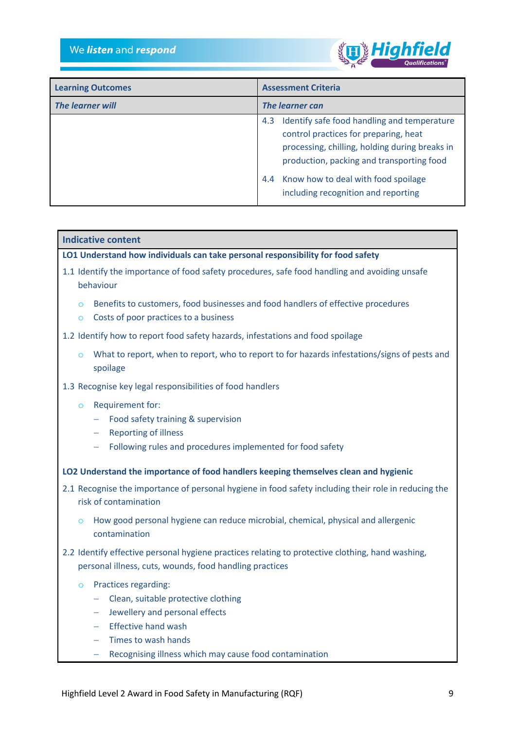

| <b>Learning Outcomes</b> | <b>Assessment Criteria</b>                                                                                                                                                                                                                                                   |
|--------------------------|------------------------------------------------------------------------------------------------------------------------------------------------------------------------------------------------------------------------------------------------------------------------------|
| The learner will         | The learner can                                                                                                                                                                                                                                                              |
|                          | 4.3 Identify safe food handling and temperature<br>control practices for preparing, heat<br>processing, chilling, holding during breaks in<br>production, packing and transporting food<br>Know how to deal with food spoilage<br>4.4<br>including recognition and reporting |

# **Indicative content**

**LO1 Understand how individuals can take personal responsibility for food safety**

- 1.1 Identify the importance of food safety procedures, safe food handling and avoiding unsafe behaviour
	- $\circ$  Benefits to customers, food businesses and food handlers of effective procedures
	- o Costs of poor practices to a business
- 1.2 Identify how to report food safety hazards, infestations and food spoilage
	- $\circ$  What to report, when to report, who to report to for hazards infestations/signs of pests and spoilage
- 1.3 Recognise key legal responsibilities of food handlers
	- o Requirement for:
		- Food safety training & supervision
		- Reporting of illness
		- Following rules and procedures implemented for food safety
- **LO2 Understand the importance of food handlers keeping themselves clean and hygienic**
- 2.1 Recognise the importance of personal hygiene in food safety including their role in reducing the risk of contamination
	- $\circ$  How good personal hygiene can reduce microbial, chemical, physical and allergenic contamination
- 2.2 Identify effective personal hygiene practices relating to protective clothing, hand washing, personal illness, cuts, wounds, food handling practices
	- o Practices regarding:
		- Clean, suitable protective clothing
		- Jewellery and personal effects
		- $-$  Fffective hand wash
		- $-$  Times to wash hands
		- Recognising illness which may cause food contamination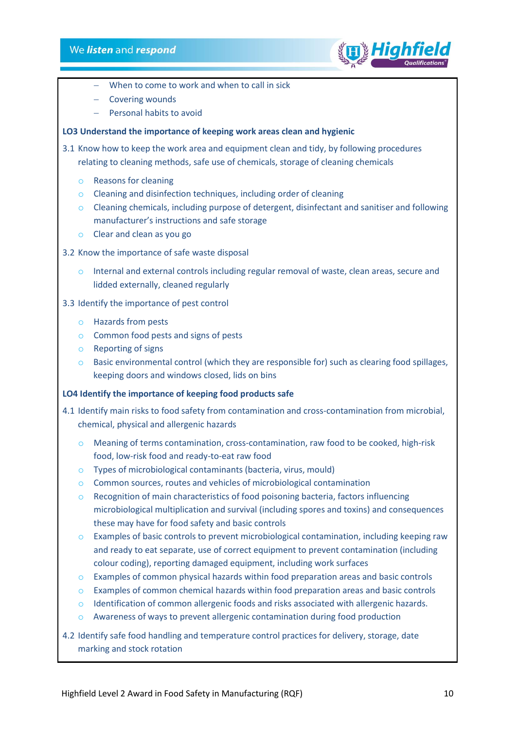

- When to come to work and when to call in sick
- Covering wounds
- Personal habits to avoid

## **LO3 Understand the importance of keeping work areas clean and hygienic**

3.1 Know how to keep the work area and equipment clean and tidy, by following procedures relating to cleaning methods, safe use of chemicals, storage of cleaning chemicals

- o Reasons for cleaning
- o Cleaning and disinfection techniques, including order of cleaning
- o Cleaning chemicals, including purpose of detergent, disinfectant and sanitiser and following manufacturer's instructions and safe storage
- o Clear and clean as you go
- 3.2 Know the importance of safe waste disposal
	- $\circ$  Internal and external controls including regular removal of waste, clean areas, secure and lidded externally, cleaned regularly
- 3.3 Identify the importance of pest control
	- o Hazards from pests
	- o Common food pests and signs of pests
	- o Reporting of signs
	- $\circ$  Basic environmental control (which they are responsible for) such as clearing food spillages, keeping doors and windows closed, lids on bins

#### **LO4 Identify the importance of keeping food products safe**

- 4.1 Identify main risks to food safety from contamination and cross-contamination from microbial, chemical, physical and allergenic hazards
	- $\circ$  Meaning of terms contamination, cross-contamination, raw food to be cooked, high-risk food, low-risk food and ready-to-eat raw food
	- o Types of microbiological contaminants (bacteria, virus, mould)
	- o Common sources, routes and vehicles of microbiological contamination
	- $\circ$  Recognition of main characteristics of food poisoning bacteria, factors influencing microbiological multiplication and survival (including spores and toxins) and consequences these may have for food safety and basic controls
	- o Examples of basic controls to prevent microbiological contamination, including keeping raw and ready to eat separate, use of correct equipment to prevent contamination (including colour coding), reporting damaged equipment, including work surfaces
	- $\circ$  Examples of common physical hazards within food preparation areas and basic controls
	- $\circ$  Examples of common chemical hazards within food preparation areas and basic controls
	- $\circ$  Identification of common allergenic foods and risks associated with allergenic hazards.
	- o Awareness of ways to prevent allergenic contamination during food production
- 4.2 Identify safe food handling and temperature control practices for delivery, storage, date marking and stock rotation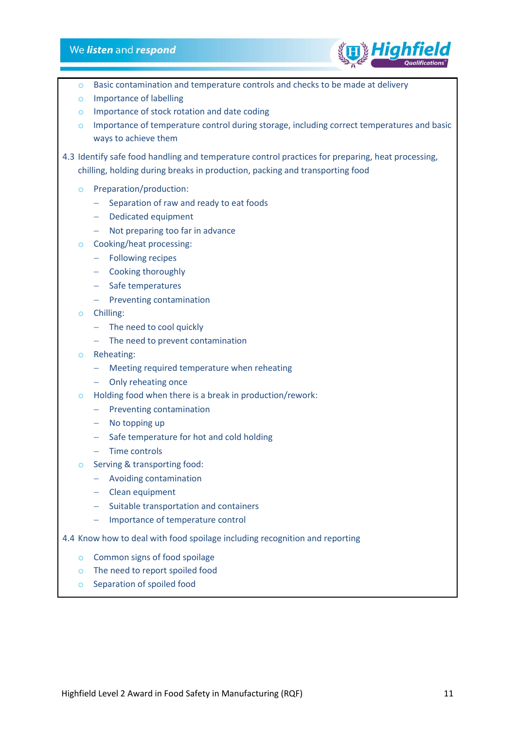# We listen and respond



- $\circ$  Basic contamination and temperature controls and checks to be made at delivery
- o Importance of labelling
- o Importance of stock rotation and date coding
- o Importance of temperature control during storage, including correct temperatures and basic ways to achieve them
- 4.3 Identify safe food handling and temperature control practices for preparing, heat processing, chilling, holding during breaks in production, packing and transporting food
	- o Preparation/production:
		- Separation of raw and ready to eat foods
		- Dedicated equipment
		- Not preparing too far in advance
	- o Cooking/heat processing:
		- Following recipes
		- Cooking thoroughly
		- Safe temperatures
		- $-$  Preventing contamination
	- o Chilling:
		- The need to cool quickly
		- $-$  The need to prevent contamination
	- o Reheating:
		- Meeting required temperature when reheating
		- Only reheating once
	- o Holding food when there is a break in production/rework:
		- $-$  Preventing contamination
		- $-$  No topping up
		- Safe temperature for hot and cold holding
		- $-$  Time controls
	- o Serving & transporting food:
		- Avoiding contamination
		- Clean equipment
		- Suitable transportation and containers
		- Importance of temperature control
- 4.4 Know how to deal with food spoilage including recognition and reporting
	- o Common signs of food spoilage
	- o The need to report spoiled food
	- o Separation of spoiled food